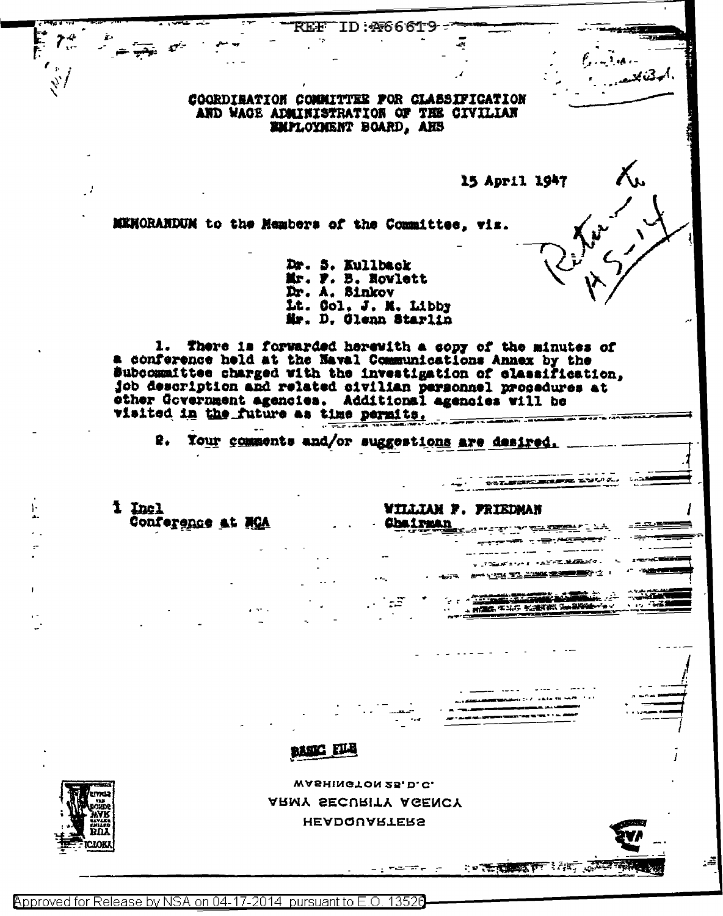

Approved for Release by NSA on 04-17-2014 pursuant to E.O. 13526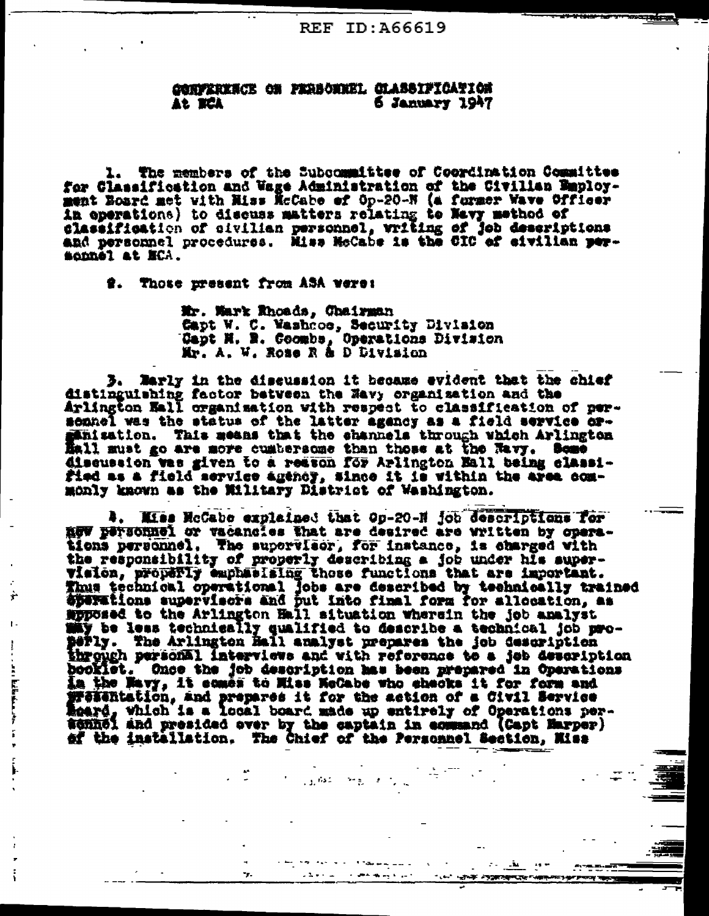## CORFERENCE ON PERSONNEL CLASSIFICATION 6 January 1947 AL RCA

1. The members of the Subcommittee of Coordination Committee for Classification and Wage Administration of the Civilian Employment Board met with Miss McCabe of Op-20-N (a furner Wave Officer in operations) to discuss matters relating to Mavy method of classification of civilian personnel, writing of job descriptions and personnel procedures. Miss MeCabe is the CIC of eivilian personnel at ECA.

2. Those present from ASA were:

ч.

Ŷ

 $\mathbf{I}$  .

**Community** 

Mr. Mark Rhoads, Chairman Capt W. C. Washcoo, Security Division Capt N. R. Coombs, Operations Division Mr. A. W. Rose R & D Division

Warly in the discussion it became evident that the chief э. distinguishing factor between the Havy organization and the Arlington Eall organisation with respect to classification of perscanel was the status of the latter agency as a field service or-<br>sand was the status of the latter agency as a field service or-<br>sail must go are more cumbersome than those at the Navy. Seme<br>discussion was given to a reas fied as a field service agency, since it is within the area commonly known as the Military District of Washington.

tions personnel. The supervisor, for instance, is charged with the responsibility of properly describing a job under his supervision, properly deterious a job under mis super-<br>vision, properly exphasising those functions that are important.<br>Thus technical operational jobs are described by technically trained<br>sperations supervisors and put into fi bookiet. Once the job description has been prepared in Operations in the Navy, it comes to Miss NeCabe who shecks it for form and graiantation, and prepares it for the action of a Civil Service hoard, which is a local board made up entirely of Operations perughhei and presided over by the captain in command (Capt Marper) af the installation. The Chief of the Personnel Section, Miss

 $\label{eq:2.1} \mathcal{L}(\mathcal{L}^{\text{max}}_{\mathcal{L}^{\text{max}}_{\mathcal{L}^{\text{max}}_{\mathcal{L}^{\text{max}}_{\mathcal{L}^{\text{max}}_{\mathcal{L}^{\text{max}}_{\mathcal{L}^{\text{max}}_{\mathcal{L}^{\text{max}}_{\mathcal{L}^{\text{max}}_{\mathcal{L}^{\text{max}}_{\mathcal{L}^{\text{max}}_{\mathcal{L}^{\text{max}}_{\mathcal{L}^{\text{max}}_{\mathcal{L}^{\text{max}}_{\mathcal{L}^{\text{max}}_{\mathcal{L}^{\text{$ 

المحتوية ومناوة المعاون الما

**Contract Contract** 

**CONTRACTOR AND PROPERTY OF**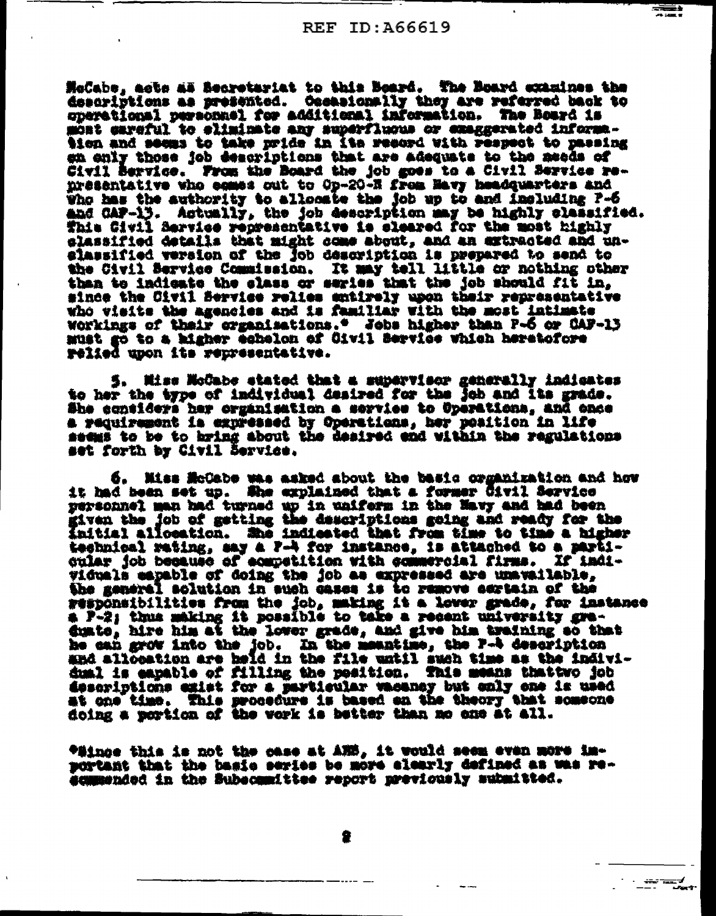McCabe, acts as Secretariat to this Board. The Board examines the descriptions as presented. Cacasionally they are referred back to operational personnel for additional information. The Board is most derected to eliminate any superfluous or exaggerated information and seems to take pride in its resord with respect to passing on only those job descriptions that are adequate to the media of Civil Service. From the Board the job goes to a Civil Service re-<br>presentative who eques out to Op-20-N from Mavy headquarters and<br>Who has the authority to allocate the job up to and including P-6 and GAP-13. Actually, the job description may be highly classified.<br>This Civil Service representative is cleared for the most highly classified details that might come about, and an extracted and unelassified version of the job description is prepared to send to the Civil Service Commission. It may tell little or nothing other than to indicate the class or series that the job should fit in. since the Civil Service relies entirely upon their representative who visits the agencies and is familiar with the most intimate Workings of their organisations." Jobs higher than P-6 or CAF-13 must go to a higher eshelon of Civil Service which heretofore relied upon its representative.

5. Miss McCabe stated that a supervisor generally indicates to her the type of individual desired for the job and its grade. She considers her organisation a service to Operations, and ence seems to be to bring about the desired and within the regulations set forth by Civil Service.

6. Miss McCabe was asked about the basic organization and how it had been set up. She explained that a former Civil Service personnel man had turned up in uniform in the Navy and had been<br>given the job of getting the descriptions going and ready for the<br>initial allocation. She indicated that from time to time a higher technical rating, say a 7-4 for instance, is attached to a parti-<br>cular job because of competition with commercial firms. If individuals eapable of doing the job as expressed are unavailable, the general solution in such cases is to remove certain of the responsibilities from the job, making it a lover grade, for instance<br>a P-2; thus making it possible to take a recent university gra-<br>dunte, hire him at the lover grade, and give him training so that he can grow into the job. In the meantime, the P-4 description<br>and allocation are held in the file until such time as the indivi-<br>dual is eapable of filling the position. This means that we job descriptions exist for a particular vacancy but only one is used at one time. This procedure is based on the theory that someone doing a portion of the work is better than no one at all.

\*#inge this is not the case at ANS, it would seem even more immortant that the basis series be more slearly defined as was resemmended in the Subscamittee report previously mubmitted.

7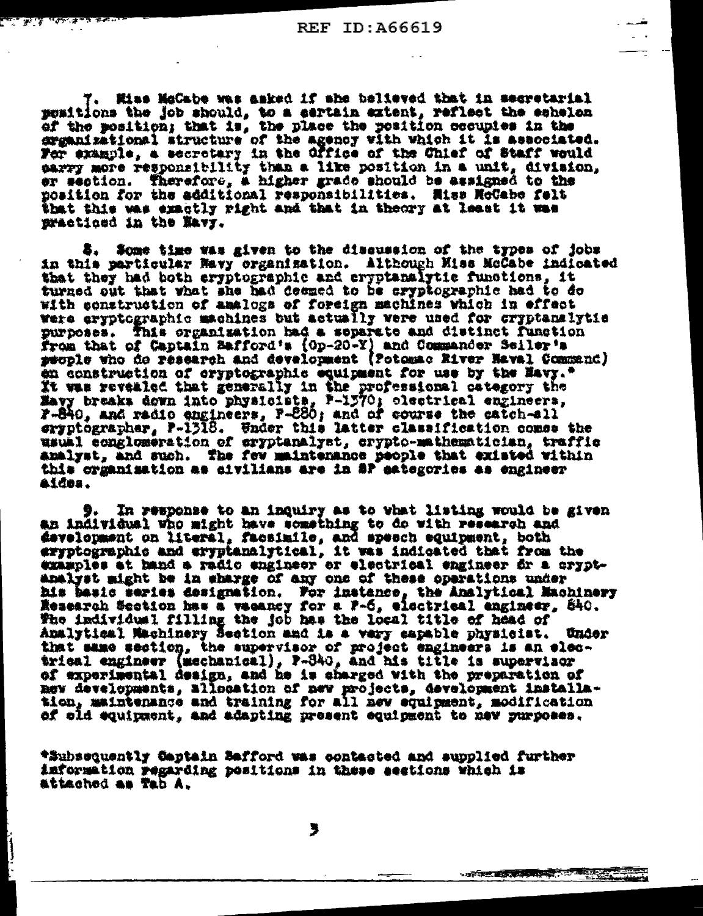7. Miss McCabe was asked if she believed that in secretarial pomitions the job should, to a sertain extent, reflect the eshelon of the position; that is, the place the position occupies in the erganizational structure of the agency with which it is associated.<br>For example, a secretary in the Office of the Chief of Staff would sarry more responsibility than a like position in a unit, division, or section. Therefore, a higher grade should be assigned to the position for the additional responsibilities. Miss NeCabe felt that this was exactly right and that in theory at least it was Bracticed in the Navy.

 $\overline{\mathscr{C}}$ 

5. Some time was given to the discussion of the types of jobs in this particular Navy organization. Although Miss McCabe indicated that they had both eryptographic and eryptanalytic functions, it turned out that what she had deemed to be eryptographic had to do with construction of amalogs of foreign machines which in effect were eryptographic machines but actually were used for cryptanalytic purposes. This organization had a separate and distinct function from that of Captain Bafford's (Op-20-Y) and Commander Seiler's people who do research and development (Potomac River Naval Command) an construction of cryptographic equipment for use by the Havy."<br>It was revealed that generally in the professional category the<br>Havy breaks down into physicists, P-1370; olectrical engineers,<br>F-840, and radio engineers, P analyst, and such. The few maintenance people that existed within this crganisation as civilians are in SP eategories as engineer Aida.

9. In response to an inquiry as to what listing would be given an individual who might have something to do with research and development on literal, facaimile, and speech equipment, both eryptographic and eryptanalytical, it was indicated that from the examples at band a radio engineer er electrical engineer fr a cryptanalyst might be in sharge of any one of these operations under his basic series designation. For instance, the Analytical Machinery<br>Research Section has a vacancy for a 7-6, electrical angineer, 840.<br>The individual filling the job has the local title of head of Amalytical Machinery Section and is a very capable physicist. Under that same section, the supervisor of project engineers is an elec-<br>trical engineer (mechanical), P-340, and his title is supervisor<br>of experimental design, and he is charged with the preparation of new developments, allocation of new projects, development installa-tion, maintenance and training for all new equipment, modification of old equipment, and adapting present equipment to new purposes.

\*Subsequently Captain Safford was contacted and supplied further information regarding positions in these sections which is attached as Tab A.

罗

<u>the community of the community of the community of the community of the community of the community of the community of the community of the community of the community of the community of the community of the community of </u>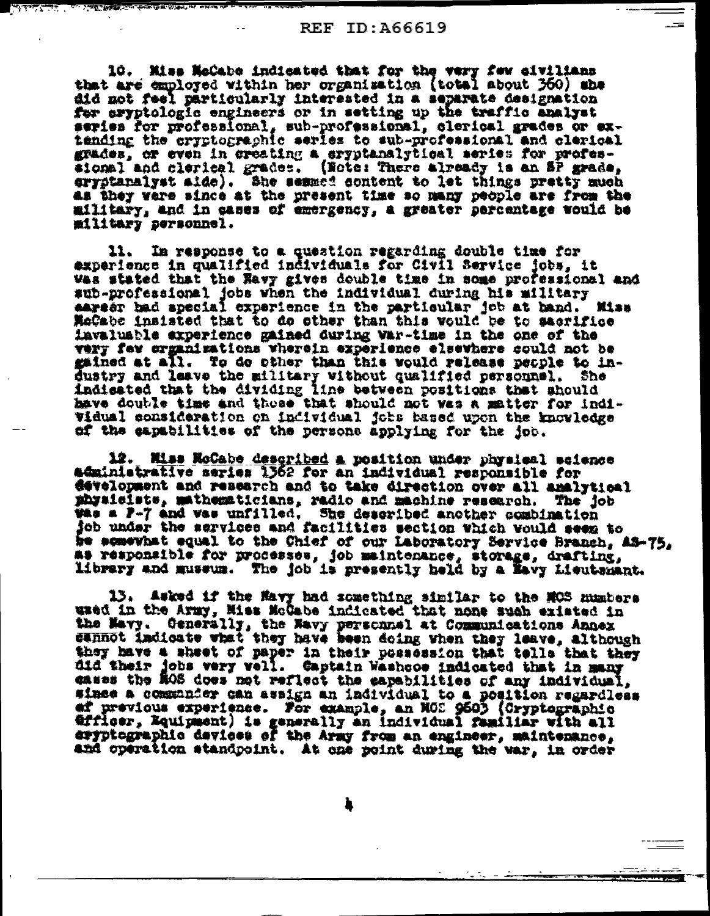10. Miss McCabe indicated that for the very few civilians that are employed within her organization (total about 360) she did not feel particularly interested in a separate designation for asyptologic engineers or in setting up the traffic analyst series for professional, sub-professional, clerical grades or extending the cryptographic series to sub-professional and clerical grades, or even in creating a cryptanalytical series for professional and clerical grades. (Note: There already is an SP grade, eryptanalyst aide). She semmed content to let things pretty much as they vere since at the present time so many people are from the military, and in cases of emergency, a greater percentage would be military personnel.

11. In response to a question regarding double time for experience in qualified individuals for Civil Service jobs, it Was stated that the Havy gives double time in some professional and sub-professional jobs when the individual during his military eareer had special experience in the particular job at hand. Miss MaCabe insisted that to do other than this would be to sacrifice invaluable experience gained during war-time in the one of the very few creanizations wherein experience elsewhere could not be gained at all. To do other than this would release people to industry and leave the military without qualified personnel. She indicated that the dividing line between positions that should have double time and those that should not was a matter for individual consideration on individual jobs based upon the knowledge of the eapabilities of the persone applying for the joc.

12. Miss McCabe described a position under physical science administrative series 1362 for an individual responsible for development and research and to take direction over all amalytical physiclets, mathematicians, radio and machine research. The job Was a P-7 and was unfilled. She described another combination iob undar the services and facilities section which would seem to he somewhat equal to the Chief of our Laboratory Service Branch, AS-75, as responsible for processes, job maintenance, storage, drafting, library and museum. The job is presently held by a Mavy Lieutemant.

13. Asked if the Navy had something similar to the MOS numbers used in the Army, Miss McCabe indicated that none such existed in the May, Generally, the May personnel at Communications Annex<br>cannot indicate what they have been doing when they leave, although<br>they have a sheet of paper in their possession that tells that they<br>did their jobs wery well eases the ROS does not reflect the eapabilities of any individual, since a communicr can assign an individual to a position regardless ef previous experience. For example, an NOS 9505 (Cryptographic efficer, Equipment) is generally an individual familiar with all eryptographic devices of the Army from an engineer, maintenance, and operation standpoint. At one point during the war, in order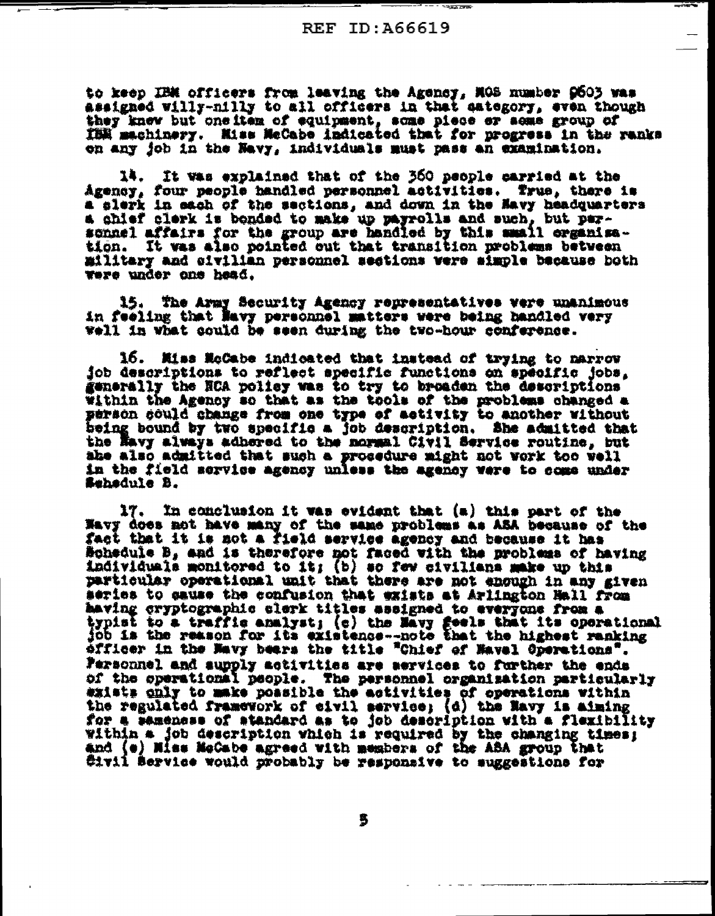ಕ್ರಮ ಮಾಡು

to keep IBM officers from leaving the Agency, MOS number 9603 was assigned willy-nilly to all officers in that eategory, even though they knew but one item of equipment, some piece or some group of ISE machinery. Miss McCabe indicated that for progress in the ranks on any job in the Navy, individuals must pass an examination.

14. It was explained that of the 350 people carried at the Agency, four people handled personnel activities. True, there is a slerk in each of the sections, and down in the Mavy headquarters a chief clerk is bonded to make up payrolls and such, but per-sonnel affairs for the group are handled by this small organisation. It was also pointed out that transition problems between military and eivilian personnel sections were simple because both were under one head.

15. The Army Security Agency representatives vere unanimous in feeling that Navy personnel matters were being handled very well in what could be seen during the two-hour conference.

16. Miss McCabe indicated that instead of trying to narrow job descriptions to reflect specific functions on specific jobs.<br>generally the NCA policy was to try to broaden the descriptions Within the Agency so that as the tools of the problems changed a person could change from one type of activity to another without being bound by two specific a job description. She admitted that the Navy always adhered to the normal Civil Service routine, but ahe also admitted that such a procedure might not work too well in the field service agency unless the agency were to come under **Sehedule D.** 

17. In conclusion it was evident that (a) this part of the Navy does not have many of the same problems as ASA because of the fact that it is not a field service agency and because it has Schedule B, and is therefore not faced with the problems of having individuals monitored to it; (b) so few civilians make up this particular operational unit that there are not enough in any given series to sause the confusion that exists at Arlington Hall from having cryptographic clerk titles assigned to everyone from a typist to a traffic analyst; (c) the Mavy geels that its operational job is the reason for its existence--note that the highest ranking efficer in the Mavy bears the title "Chief of Mavel Operations". Personnel and aupply activities are aervices to further the ends of the sperational people. The personnel organisation particularly exists only to make possible the activities of operations within the regulated framework of civil service; (d) the Havy is aiming for a sameness of standard as to job description with a flexibility within a job description which is required by the changing times; and (e) Miss MoCabe agreed with members of the ASA group that Civil Service would probably be responsive to suggestions for